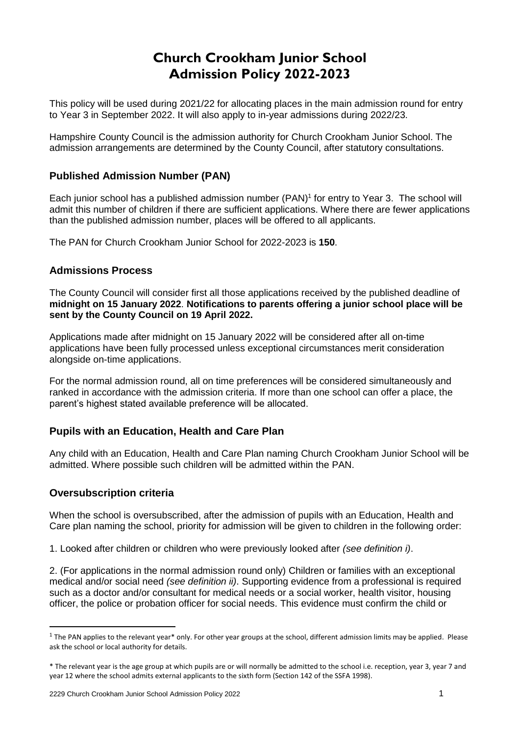# **Church Crookham Junior School Admission Policy 2022-2023**

This policy will be used during 2021/22 for allocating places in the main admission round for entry to Year 3 in September 2022. It will also apply to in-year admissions during 2022/23.

Hampshire County Council is the admission authority for Church Crookham Junior School. The admission arrangements are determined by the County Council, after statutory consultations.

## **Published Admission Number (PAN)**

Each junior school has a published admission number (PAN) 1 for entry to Year 3. The school will admit this number of children if there are sufficient applications. Where there are fewer applications than the published admission number, places will be offered to all applicants.

The PAN for Church Crookham Junior School for 2022-2023 is **150**.

### **Admissions Process**

The County Council will consider first all those applications received by the published deadline of **midnight on 15 January 2022**. **Notifications to parents offering a junior school place will be sent by the County Council on 19 April 2022.**

Applications made after midnight on 15 January 2022 will be considered after all on-time applications have been fully processed unless exceptional circumstances merit consideration alongside on-time applications.

For the normal admission round, all on time preferences will be considered simultaneously and ranked in accordance with the admission criteria. If more than one school can offer a place, the parent's highest stated available preference will be allocated.

# **Pupils with an Education, Health and Care Plan**

Any child with an Education, Health and Care Plan naming Church Crookham Junior School will be admitted. Where possible such children will be admitted within the PAN.

#### **Oversubscription criteria**

1

When the school is oversubscribed, after the admission of pupils with an Education, Health and Care plan naming the school, priority for admission will be given to children in the following order:

1. Looked after children or children who were previously looked after *(see definition i)*.

2. (For applications in the normal admission round only) Children or families with an exceptional medical and/or social need *(see definition ii)*. Supporting evidence from a professional is required such as a doctor and/or consultant for medical needs or a social worker, health visitor, housing officer, the police or probation officer for social needs. This evidence must confirm the child or

 $1$  The PAN applies to the relevant year\* only. For other year groups at the school, different admission limits may be applied. Please ask the school or local authority for details.

<sup>\*</sup> The relevant year is the age group at which pupils are or will normally be admitted to the school i.e. reception, year 3, year 7 and year 12 where the school admits external applicants to the sixth form (Section 142 of the SSFA 1998).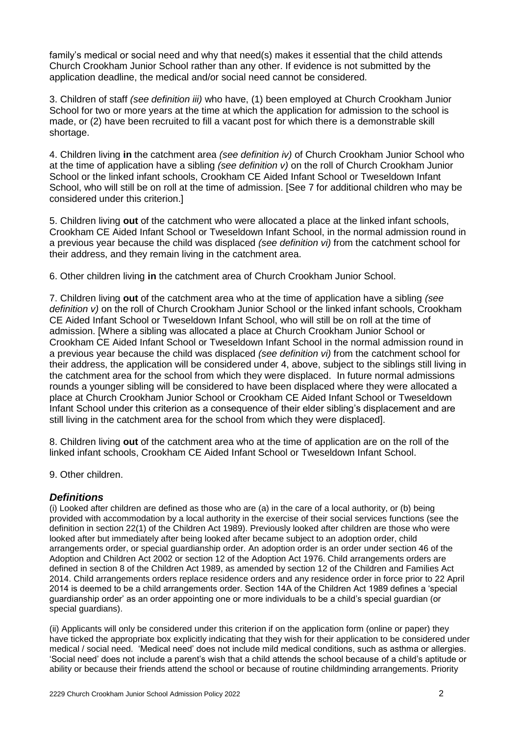family's medical or social need and why that need(s) makes it essential that the child attends Church Crookham Junior School rather than any other. If evidence is not submitted by the application deadline, the medical and/or social need cannot be considered.

3. Children of staff *(see definition iii)* who have, (1) been employed at Church Crookham Junior School for two or more years at the time at which the application for admission to the school is made, or (2) have been recruited to fill a vacant post for which there is a demonstrable skill shortage.

4. Children living **in** the catchment area *(see definition iv)* of Church Crookham Junior School who at the time of application have a sibling *(see definition v)* on the roll of Church Crookham Junior School or the linked infant schools, Crookham CE Aided Infant School or Tweseldown Infant School, who will still be on roll at the time of admission. [See 7 for additional children who may be considered under this criterion.]

5. Children living **out** of the catchment who were allocated a place at the linked infant schools, Crookham CE Aided Infant School or Tweseldown Infant School, in the normal admission round in a previous year because the child was displaced *(see definition vi)* from the catchment school for their address, and they remain living in the catchment area.

6. Other children living **in** the catchment area of Church Crookham Junior School.

7. Children living **out** of the catchment area who at the time of application have a sibling *(see definition v)* on the roll of Church Crookham Junior School or the linked infant schools, Crookham CE Aided Infant School or Tweseldown Infant School, who will still be on roll at the time of admission. [Where a sibling was allocated a place at Church Crookham Junior School or Crookham CE Aided Infant School or Tweseldown Infant School in the normal admission round in a previous year because the child was displaced *(see definition vi)* from the catchment school for their address, the application will be considered under 4, above, subject to the siblings still living in the catchment area for the school from which they were displaced. In future normal admissions rounds a younger sibling will be considered to have been displaced where they were allocated a place at Church Crookham Junior School or Crookham CE Aided Infant School or Tweseldown Infant School under this criterion as a consequence of their elder sibling's displacement and are still living in the catchment area for the school from which they were displaced].

8. Children living **out** of the catchment area who at the time of application are on the roll of the linked infant schools, Crookham CE Aided Infant School or Tweseldown Infant School.

9. Other children.

# *Definitions*

(i) Looked after children are defined as those who are (a) in the care of a local authority, or (b) being provided with accommodation by a local authority in the exercise of their social services functions (see the definition in section 22(1) of the Children Act 1989). Previously looked after children are those who were looked after but immediately after being looked after became subject to an adoption order, child arrangements order, or special guardianship order. An adoption order is an order under section 46 of the Adoption and Children Act 2002 or section 12 of the Adoption Act 1976. Child arrangements orders are defined in section 8 of the Children Act 1989, as amended by section 12 of the Children and Families Act 2014. Child arrangements orders replace residence orders and any residence order in force prior to 22 April 2014 is deemed to be a child arrangements order. Section 14A of the Children Act 1989 defines a 'special guardianship order' as an order appointing one or more individuals to be a child's special guardian (or special guardians).

(ii) Applicants will only be considered under this criterion if on the application form (online or paper) they have ticked the appropriate box explicitly indicating that they wish for their application to be considered under medical / social need. 'Medical need' does not include mild medical conditions, such as asthma or allergies. 'Social need' does not include a parent's wish that a child attends the school because of a child's aptitude or ability or because their friends attend the school or because of routine childminding arrangements. Priority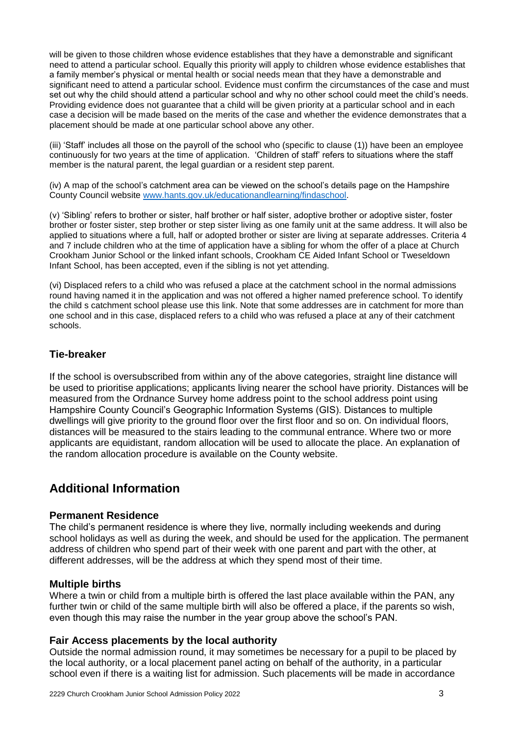will be given to those children whose evidence establishes that they have a demonstrable and significant need to attend a particular school. Equally this priority will apply to children whose evidence establishes that a family member's physical or mental health or social needs mean that they have a demonstrable and significant need to attend a particular school. Evidence must confirm the circumstances of the case and must set out why the child should attend a particular school and why no other school could meet the child's needs. Providing evidence does not guarantee that a child will be given priority at a particular school and in each case a decision will be made based on the merits of the case and whether the evidence demonstrates that a placement should be made at one particular school above any other.

(iii) 'Staff' includes all those on the payroll of the school who (specific to clause (1)) have been an employee continuously for two years at the time of application. 'Children of staff' refers to situations where the staff member is the natural parent, the legal guardian or a resident step parent.

(iv) A map of the school's catchment area can be viewed on the school's details page on the Hampshire County Council website [www.hants.gov.uk/educationandlearning/findaschool.](http://www.hants.gov.uk/educationandlearning/findaschool)

(v) 'Sibling' refers to brother or sister, half brother or half sister, adoptive brother or adoptive sister, foster brother or foster sister, step brother or step sister living as one family unit at the same address. It will also be applied to situations where a full, half or adopted brother or sister are living at separate addresses. Criteria 4 and 7 include children who at the time of application have a sibling for whom the offer of a place at Church Crookham Junior School or the linked infant schools, Crookham CE Aided Infant School or Tweseldown Infant School, has been accepted, even if the sibling is not yet attending.

(vi) Displaced refers to a child who was refused a place at the catchment school in the normal admissions round having named it in the application and was not offered a higher named preference school. To identify the child s catchment school please use this link. Note that some addresses are in catchment for more than one school and in this case, displaced refers to a child who was refused a place at any of their catchment schools.

# **Tie-breaker**

If the school is oversubscribed from within any of the above categories, straight line distance will be used to prioritise applications; applicants living nearer the school have priority. Distances will be measured from the Ordnance Survey home address point to the school address point using Hampshire County Council's Geographic Information Systems (GIS). Distances to multiple dwellings will give priority to the ground floor over the first floor and so on. On individual floors, distances will be measured to the stairs leading to the communal entrance. Where two or more applicants are equidistant, random allocation will be used to allocate the place. An explanation of the random allocation procedure is available on the County website.

# **Additional Information**

#### **Permanent Residence**

The child's permanent residence is where they live, normally including weekends and during school holidays as well as during the week, and should be used for the application. The permanent address of children who spend part of their week with one parent and part with the other, at different addresses, will be the address at which they spend most of their time.

#### **Multiple births**

Where a twin or child from a multiple birth is offered the last place available within the PAN, any further twin or child of the same multiple birth will also be offered a place, if the parents so wish, even though this may raise the number in the year group above the school's PAN.

#### **Fair Access placements by the local authority**

Outside the normal admission round, it may sometimes be necessary for a pupil to be placed by the local authority, or a local placement panel acting on behalf of the authority, in a particular school even if there is a waiting list for admission. Such placements will be made in accordance